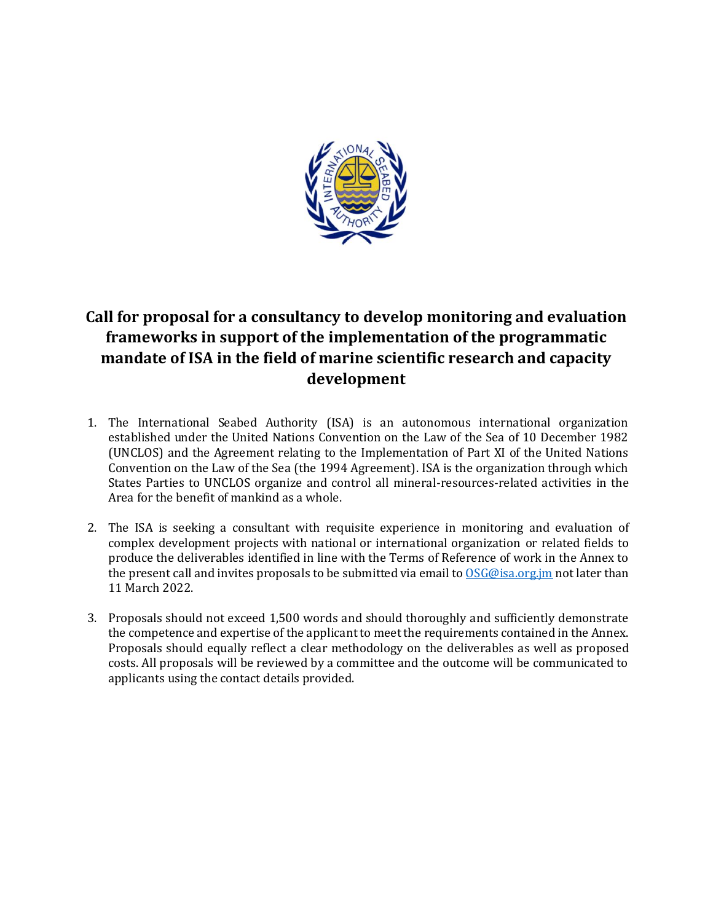

# **Call for proposal for a consultancy to develop monitoring and evaluation frameworks in support of the implementation of the programmatic mandate of ISA in the field of marine scientific research and capacity development**

- 1. The International Seabed Authority (ISA) is an autonomous international organization established under the United Nations Convention on the Law of the Sea of 10 December 1982 (UNCLOS) and the Agreement relating to the Implementation of Part XI of the United Nations Convention on the Law of the Sea (the 1994 Agreement). ISA is the organization through which States Parties to UNCLOS organize and control all mineral-resources-related activities in the Area for the benefit of mankind as a whole.
- 2. The ISA is seeking a consultant with requisite experience in monitoring and evaluation of complex development projects with national or international organization or related fields to produce the deliverables identified in line with the Terms of Reference of work in the Annex to the present call and invites proposals to be submitted via email to [OSG@isa.org.jm](mailto:OSG@isa.org.jm) not later than 11 March 2022.
- 3. Proposals should not exceed 1,500 words and should thoroughly and sufficiently demonstrate the competence and expertise of the applicant to meet the requirements contained in the Annex. Proposals should equally reflect a clear methodology on the deliverables as well as proposed costs. All proposals will be reviewed by a committee and the outcome will be communicated to applicants using the contact details provided.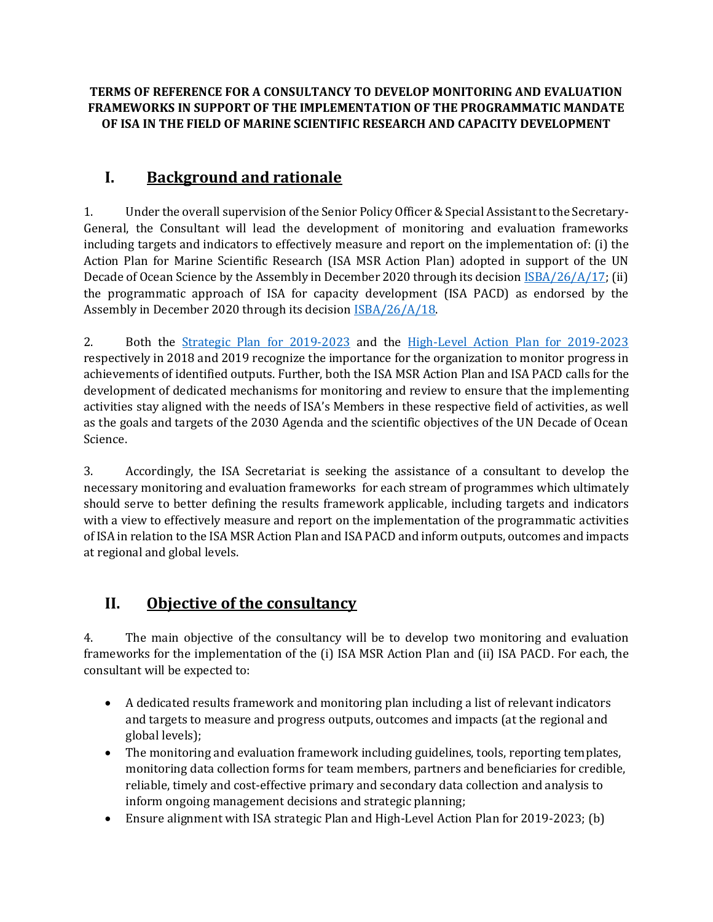#### **TERMS OF REFERENCE FOR A CONSULTANCY TO DEVELOP MONITORING AND EVALUATION FRAMEWORKS IN SUPPORT OF THE IMPLEMENTATION OF THE PROGRAMMATIC MANDATE OF ISA IN THE FIELD OF MARINE SCIENTIFIC RESEARCH AND CAPACITY DEVELOPMENT**

# **I. Background and rationale**

1. Under the overall supervision of the Senior Policy Officer & Special Assistant to the Secretary-General, the Consultant will lead the development of monitoring and evaluation frameworks including targets and indicators to effectively measure and report on the implementation of: (i) the Action Plan for Marine Scientific Research (ISA MSR Action Plan) adopted in support of the UN Decade of Ocean Science by the Assembly in December 2020 through its decision [ISBA/26/A/17;](https://isa.org.jm/files/files/documents/ISBA_26_A_17-2017623E.pdf) (ii) the programmatic approach of ISA for capacity development (ISA PACD) as endorsed by the Assembly in December 2020 through its decision **ISBA/26/A/18**.

2. Both the [Strategic Plan for 2019-2023](https://isa.org.jm/files/files/documents/isba24_a10-en.pdf) and the [High-Level Action Plan for 2019-2023](https://isa.org.jm/files/files/documents/25a-15-e.pdf) respectively in 2018 and 2019 recognize the importance for the organization to monitor progress in achievements of identified outputs. Further, both the ISA MSR Action Plan and ISA PACD calls for the development of dedicated mechanisms for monitoring and review to ensure that the implementing activities stay aligned with the needs of ISA's Members in these respective field of activities, as well as the goals and targets of the 2030 Agenda and the scientific objectives of the UN Decade of Ocean Science.

3. Accordingly, the ISA Secretariat is seeking the assistance of a consultant to develop the necessary monitoring and evaluation frameworks for each stream of programmes which ultimately should serve to better defining the results framework applicable, including targets and indicators with a view to effectively measure and report on the implementation of the programmatic activities of ISA in relation to the ISA MSR Action Plan and ISA PACD and inform outputs, outcomes and impacts at regional and global levels.

# **II. Objective of the consultancy**

4. The main objective of the consultancy will be to develop two monitoring and evaluation frameworks for the implementation of the (i) ISA MSR Action Plan and (ii) ISA PACD. For each, the consultant will be expected to:

- A dedicated results framework and monitoring plan including a list of relevant indicators and targets to measure and progress outputs, outcomes and impacts (at the regional and global levels);
- The monitoring and evaluation framework including guidelines, tools, reporting templates, monitoring data collection forms for team members, partners and beneficiaries for credible, reliable, timely and cost-effective primary and secondary data collection and analysis to inform ongoing management decisions and strategic planning;
- Ensure alignment with ISA strategic Plan and High-Level Action Plan for 2019-2023; (b)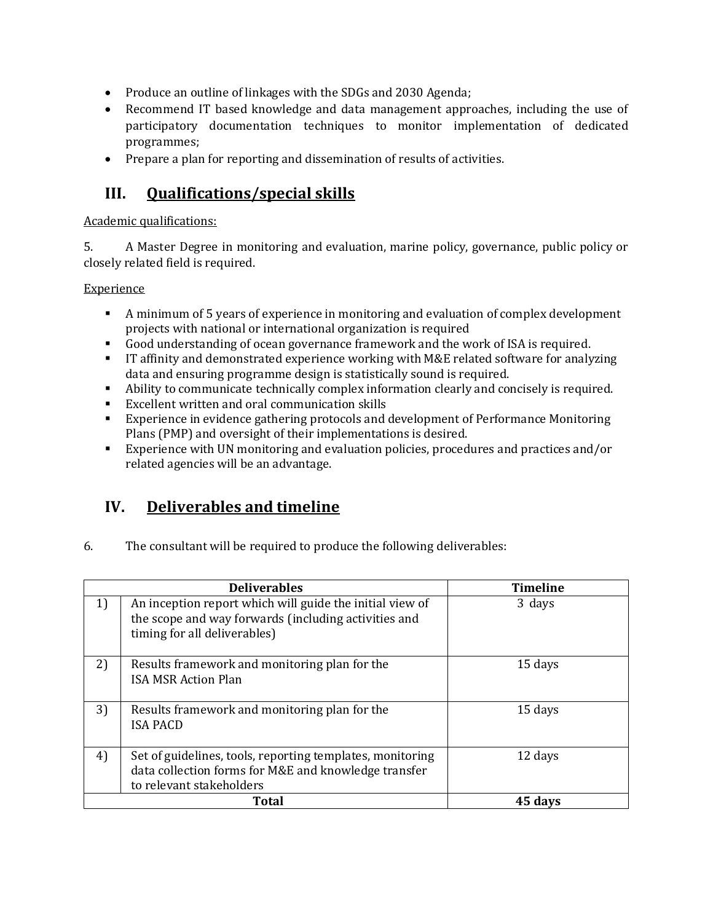- Produce an outline of linkages with the SDGs and 2030 Agenda;
- Recommend IT based knowledge and data management approaches, including the use of participatory documentation techniques to monitor implementation of dedicated programmes;
- Prepare a plan for reporting and dissemination of results of activities.

### **III. Qualifications/special skills**

#### Academic qualifications:

5. A Master Degree in monitoring and evaluation, marine policy, governance, public policy or closely related field is required.

#### Experience

- A minimum of 5 years of experience in monitoring and evaluation of complex development projects with national or international organization is required
- Good understanding of ocean governance framework and the work of ISA is required.
- **IT affinity and demonstrated experience working with M&E related software for analyzing** data and ensuring programme design is statistically sound is required.
- Ability to communicate technically complex information clearly and concisely is required.
- Excellent written and oral communication skills
- Experience in evidence gathering protocols and development of Performance Monitoring Plans (PMP) and oversight of their implementations is desired.
- Experience with UN monitoring and evaluation policies, procedures and practices and/or related agencies will be an advantage.

### **IV. Deliverables and timeline**

6. The consultant will be required to produce the following deliverables:

| <b>Deliverables</b> |                                                                                                                                                  | <b>Timeline</b> |
|---------------------|--------------------------------------------------------------------------------------------------------------------------------------------------|-----------------|
| 1)                  | An inception report which will guide the initial view of<br>the scope and way forwards (including activities and<br>timing for all deliverables) | 3 days          |
| 2)                  | Results framework and monitoring plan for the<br><b>ISA MSR Action Plan</b>                                                                      | 15 days         |
| 3)                  | Results framework and monitoring plan for the<br><b>ISA PACD</b>                                                                                 | 15 days         |
| 4)                  | Set of guidelines, tools, reporting templates, monitoring<br>data collection forms for M&E and knowledge transfer<br>to relevant stakeholders    | 12 days         |
| Total               |                                                                                                                                                  | 45 days         |